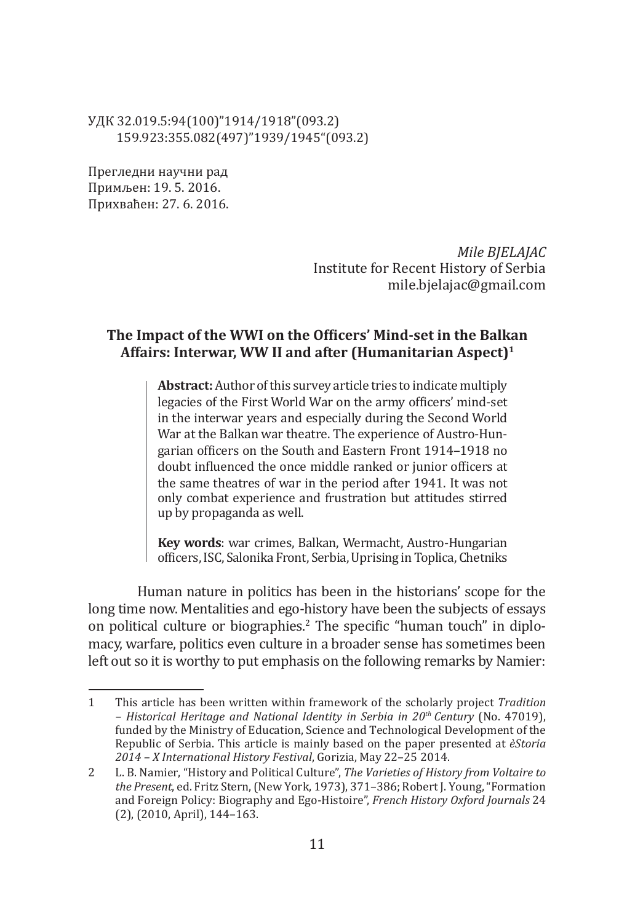УДК 32.019.5:94(100)"1914/1918"(093.2) 159.923:355.082(497)"1939/1945"(093.2)

Прегледни научни рад Примљен: 19. 5. 2016. Прихваћен: 27. 6. 2016.

> *Mile BJELAJAC* Institute for Recent History of Serbia mile.bjelajac@gmail.com

# **The Impact of the WWI on the Officers' Mind-set in the Balkan Affairs: Interwar, WW II and after (Humanitarian Aspect)<sup>1</sup>**

**Abstract:** Author of this survey article tries to indicate multiply legacies of the First World War on the army officers' mind-set in the interwar years and especially during the Second World War at the Balkan war theatre. The experience of Austro-Hungarian officers on the South and Eastern Front 1914–1918 no doubt influenced the once middle ranked or junior officers at the same theatres of war in the period after 1941. It was not only combat experience and frustration but attitudes stirred up by propaganda as well.

**Key words**: war crimes, Balkan, Wermacht, Austro-Hungarian officers, ISC, Salonika Front, Serbia, Uprising in Toplica, Chetniks

Human nature in politics has been in the historians' scope for the long time now. Mentalities and ego-history have been the subjects of essays on political culture or biographies.2 The specific "human touch" in diplomacy, warfare, politics even culture in a broader sense has sometimes been left out so it is worthy to put emphasis on the following remarks by Namier:

<sup>1</sup> This article has been written within framework of the scholarly project *Tradition – Historical Heritage and National Identity in Serbia in 20th Century* (No. 47019), funded by the Ministry of Education, Science and Technological Development of the Republic of Serbia. This article is mainly based on the paper presented at *èStoria 2014 – X International History Festival*, Gorizia, May 22–25 2014.

<sup>2</sup> L. B. Namier, "History and Political Culture", *The Varieties of History from Voltaire to the Present*, ed. Fritz Stern, (New York, 1973), 371–386; Robert J. Young, "Formation and Foreign Policy: Biography and Ego-Histoire", *French History Oxford Journals* 24 (2), (2010, April), 144–163.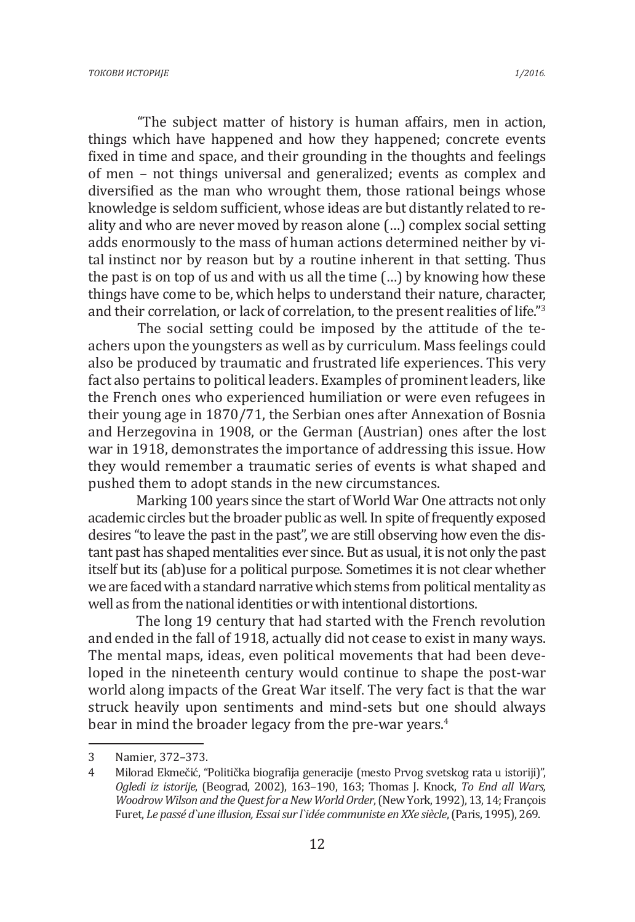"The subject matter of history is human affairs, men in action, things which have happened and how they happened; concrete events fixed in time and space, and their grounding in the thoughts and feelings of men – not things universal and generalized; events as complex and diversified as the man who wrought them, those rational beings whose knowledge is seldom sufficient, whose ideas are but distantly related to reality and who are never moved by reason alone (…) complex social setting adds enormously to the mass of human actions determined neither by vital instinct nor by reason but by a routine inherent in that setting. Thus the past is on top of us and with us all the time (…) by knowing how these things have come to be, which helps to understand their nature, character, and their correlation, or lack of correlation, to the present realities of life."3

The social setting could be imposed by the attitude of the teachers upon the youngsters as well as by curriculum. Mass feelings could also be produced by traumatic and frustrated life experiences. This very fact also pertains to political leaders. Examples of prominent leaders, like the French ones who experienced humiliation or were even refugees in their young age in 1870/71, the Serbian ones after Annexation of Bosnia and Herzegovina in 1908, or the German (Austrian) ones after the lost war in 1918, demonstrates the importance of addressing this issue. How they would remember a traumatic series of events is what shaped and pushed them to adopt stands in the new circumstances.

Marking 100 years since the start of World War One attracts not only academic circles but the broader public as well. In spite of frequently exposed desires "to leave the past in the past", we are still observing how even the distant past has shaped mentalities ever since. But as usual, it is not only the past itself but its (ab)use for a political purpose. Sometimes it is not clear whether we are faced with a standard narrative which stems from political mentality as well as from the national identities or with intentional distortions.

The long 19 century that had started with the French revolution and ended in the fall of 1918, actually did not cease to exist in many ways. The mental maps, ideas, even political movements that had been developed in the nineteenth century would continue to shape the post-war world along impacts of the Great War itself. The very fact is that the war struck heavily upon sentiments and mind-sets but one should always bear in mind the broader legacy from the pre-war years.<sup>4</sup>

<sup>3</sup> Namier, 372–373.

<sup>4</sup> Milorad Ekmečić, "Politička biografija generacije (mesto Prvog svetskog rata u istoriji)", *Ogledi iz istorije*, (Beograd, 2002), 163–190, 163; Thomas J. Knock, *To End all Wars, Woodrow Wilson and the Quest for a New World Order*, (New York, 1992), 13, 14; François Furet, *Le passé d`une illusion, Essai sur l`idée communiste en XXe siècle*, (Paris, 1995), 269.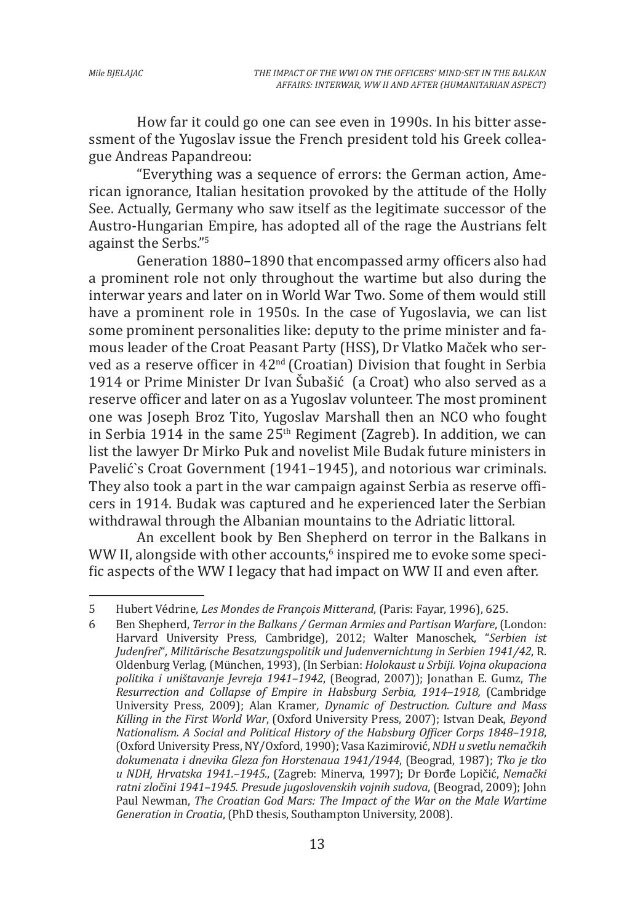How far it could go one can see even in 1990s. In his bitter assessment of the Yugoslav issue the French president told his Greek colleague Andreas Papandreou:

"Everything was a sequence of errors: the German action, American ignorance, Italian hesitation provoked by the attitude of the Holly See. Actually, Germany who saw itself as the legitimate successor of the Austro-Hungarian Empire, has adopted all of the rage the Austrians felt against the Serbs."<sup>5</sup>

Generation 1880–1890 that encompassed army officers also had a prominent role not only throughout the wartime but also during the interwar years and later on in World War Two. Some of them would still have a prominent role in 1950s. In the case of Yugoslavia, we can list some prominent personalities like: deputy to the prime minister and famous leader of the Croat Peasant Party (HSS), Dr Vlatko Maček who served as a reserve officer in  $42<sup>nd</sup>$  (Croatian) Division that fought in Serbia 1914 or Prime Minister Dr Ivan Šubašić (a Croat) who also served as a reserve officer and later on as a Yugoslav volunteer. The most prominent one was Joseph Broz Tito, Yugoslav Marshall then an NCO who fought in Serbia 1914 in the same  $25<sup>th</sup>$  Regiment (Zagreb). In addition, we can list the lawyer Dr Mirko Puk and novelist Mile Budak future ministers in Pavelić`s Croat Government (1941–1945), and notorious war criminals. They also took a part in the war campaign against Serbia as reserve officers in 1914. Budak was captured and he experienced later the Serbian withdrawal through the Albanian mountains to the Adriatic littoral.

An excellent book by Ben Shepherd on terror in the Balkans in  $WW$  II, alongside with other accounts, $^6$  inspired me to evoke some specific aspects of the WW I legacy that had impact on WW II and even after.

<sup>5</sup> Hubert Védrine, *Les Mondes de François Mitterand*, (Paris: Fayar, 1996), 625.

<sup>6</sup> Ben Shepherd, *Terror in the Balkans / German Armies and Partisan Warfare*, (London: Harvard University Press, Cambridge), 2012; Walter Manoschek, "*Serbien ist Judenfrei*"*, Militärische Besatzungspolitik und Judenvernichtung in Serbien 1941/42*, R. Oldenburg Verlag, (München, 1993), (In Serbian: *Holokaust u Srbiji. Vojna okupaciona politika i uništavanje Jevreja 1941–1942*, (Beograd, 2007)); Jonathan E. Gumz, *The Resurrection and Collapse of Empire in Habsburg Serbia, 1914–1918,* (Cambridge University Press, 2009); Alan Kramer*, Dynamic of Destruction. Culture and Mass Killing in the First World War*, (Oxford University Press, 2007); Istvan Deak, *Beyond Nationalism. A Social and Political History of the Habsburg Officer Corps 1848–1918*, (Oxford University Press, NY/Oxford, 1990); Vasa Kazimirović, *NDH u svetlu nemačkih dokumenata i dnevika Gleza fon Horstenaua 1941/1944*, (Beograd, 1987); *Tko je tko u NDH, Hrvatska 1941.–1945.*, (Zagreb: Minerva, 1997); Dr Đorđe Lopičić, *Nemački ratni zločini 1941–1945. Presude jugoslovenskih vojnih sudova*, (Beograd, 2009); John Paul Newman, *The Croatian God Mars: The Impact of the War on the Male Wartime Generation in Croatia*, (PhD thesis, Southampton University, 2008).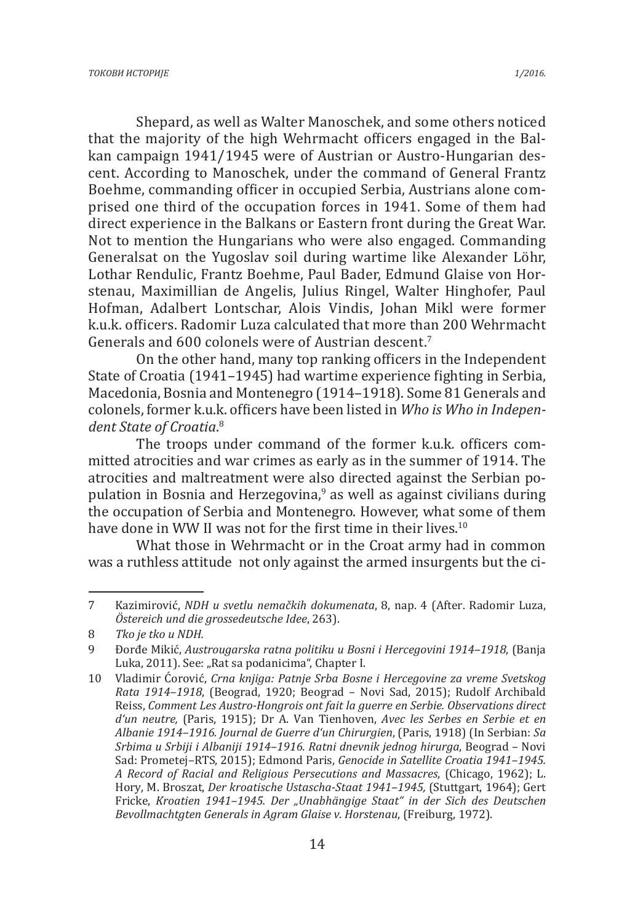Shepard, as well as Walter Manoschek, and some others noticed that the majority of the high Wehrmacht officers engaged in the Balkan campaign 1941/1945 were of Austrian or Austro-Hungarian descent. According to Manoschek, under the command of General Frantz Boehme, commanding officer in occupied Serbia, Austrians alone comprised one third of the occupation forces in 1941. Some of them had direct experience in the Balkans or Eastern front during the Great War. Not to mention the Hungarians who were also engaged. Commanding Generalsat on the Yugoslav soil during wartime like Alexander Löhr, Lothar Rendulic, Frantz Boehme, Paul Bader, Edmund Glaise von Horstenau, Maximillian de Angelis, Julius Ringel, Walter Hinghofer, Paul Hofman, Adalbert Lontschar, Alois Vindis, Johan Mikl were former k.u.k. officers. Radomir Luza calculated that more than 200 Wehrmacht Generals and 600 colonels were of Austrian descent.<sup>7</sup>

On the other hand, many top ranking officers in the Independent State of Croatia (1941–1945) had wartime experience fighting in Serbia, Macedonia, Bosnia and Montenegro (1914–1918). Some 81 Generals and colonels, former k.u.k. officers have been listed in *Who is Who in Independent State of Croatia*. 8

The troops under command of the former k.u.k*.* officers committed atrocities and war crimes as early as in the summer of 1914. The atrocities and maltreatment were also directed against the Serbian population in Bosnia and Herzegovina,<sup>9</sup> as well as against civilians during the occupation of Serbia and Montenegro. However, what some of them have done in WW II was not for the first time in their lives.<sup>10</sup>

What those in Wehrmacht or in the Croat army had in common was a ruthless attitude not only against the armed insurgents but the ci-

<sup>7</sup> Kazimirović, *NDH u svetlu nemačkih dokumenata*, 8, nap. 4 (After. Radomir Luza, *Östereich und die grossedeutsche Idee*, 263).

<sup>8</sup> *Tko je tko u NDH.*

<sup>9</sup> Đorđe Mikić, *Austrougarska ratna politiku u Bosni i Hercegovini 1914–1918*, (Banja Luka, 2011). See: "Rat sa podanicima", Chapter I.

<sup>10</sup> Vladimir Ćorović, *Crna knjiga: Patnje Srba Bosne i Hercegovine za vreme Svetskog Rata 1914–1918*, (Beograd, 1920; Beograd – Novi Sad, 2015); Rudolf Archibald Reiss, *Comment Les Austro-Hongrois ont fait la guerre en Serbie. Observations direct d'un neutre,* (Paris, 1915); Dr A. Van Tienhoven, *Avec les Serbes en Serbie et en Albanie 1914–1916. Journal de Guerre d'un Chirurgien*, (Paris, 1918) (In Serbian: *Sa Srbima u Srbiji i Albaniji 1914–1916. Ratni dnevnik jednog hirurga*, Beograd – Novi Sad: Prometej–RTS, 2015); Edmond Paris, *Genocide in Satellite Croatia 1941–1945. A Record of Racial and Religious Persecutions and Massacres*, (Chicago, 1962); L. Hory, M. Broszat, *Der kroatische Ustascha-Staat 1941–1945,* (Stuttgart, 1964); Gert Fricke, *Kroatien 1941–1945. Der "Unabhängige Staat" in der Sich des Deutschen Bevollmachtgten Generals in Agram Glaise v. Horstenau*, (Freiburg, 1972).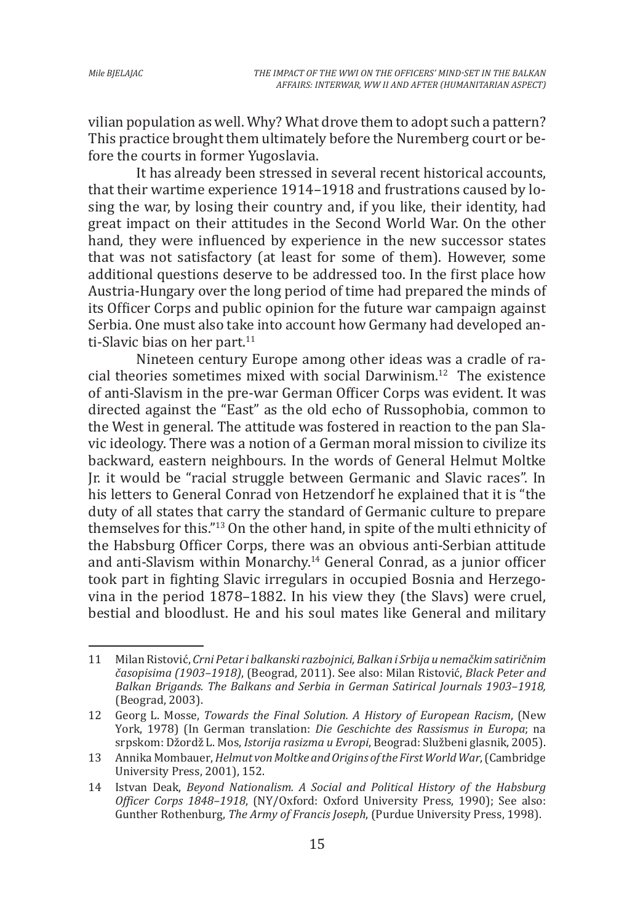vilian population as well. Why? What drove them to adopt such a pattern? This practice brought them ultimately before the Nuremberg court or before the courts in former Yugoslavia.

It has already been stressed in several recent historical accounts, that their wartime experience 1914–1918 and frustrations caused by losing the war, by losing their country and, if you like, their identity, had great impact on their attitudes in the Second World War. On the other hand, they were influenced by experience in the new successor states that was not satisfactory (at least for some of them). However, some additional questions deserve to be addressed too. In the first place how Austria-Hungary over the long period of time had prepared the minds of its Officer Corps and public opinion for the future war campaign against Serbia. One must also take into account how Germany had developed anti-Slavic bias on her part. $11$ 

Nineteen century Europe among other ideas was a cradle of racial theories sometimes mixed with social Darwinism.12 The existence of anti-Slavism in the pre-war German Officer Corps was evident. It was directed against the "East" as the old echo of Russophobia, common to the West in general. The attitude was fostered in reaction to the pan Slavic ideology. There was a notion of a German moral mission to civilize its backward, eastern neighbours. In the words of General Helmut Moltke Jr. it would be "racial struggle between Germanic and Slavic races". In his letters to General Conrad von Hetzendorf he explained that it is "the duty of all states that carry the standard of Germanic culture to prepare themselves for this."13 On the other hand, in spite of the multi ethnicity of the Habsburg Officer Corps, there was an obvious anti-Serbian attitude and anti-Slavism within Monarchy.14 General Conrad, as a junior officer took part in fighting Slavic irregulars in occupied Bosnia and Herzegovina in the period 1878–1882. In his view they (the Slavs) were cruel, bestial and bloodlust. He and his soul mates like General and military

<sup>11</sup> Milan Ristović, *Crni Petar i balkanski razbojnici, Balkan i Srbija u nemačkim satiričnim časopisima (1903–1918)*, (Beograd, 2011). See also: Milan Ristović, *Black Peter and Balkan Brigands. The Balkans and Serbia in German Satirical Journals 1903–1918,*  (Beograd, 2003).

<sup>12</sup> Georg L. Mosse, *Towards the Final Solution. A History of European Racism*, (New York, 1978) (In German translation: *Die Geschichte des Rassismus in Europa*; na srpskom: Džordž L. Mos, *Istorija rasizma u Evropi*, Beograd: Službeni glasnik, 2005).

<sup>13</sup> Annika Mombauer, *Helmut von Moltke and Origins of the First World War*, (Cambridge University Press, 2001), 152.

<sup>14</sup> Istvan Deak, *Beyond Nationalism. A Social and Political History of the Habsburg Officer Corps 1848–1918*, (NY/Oxford: Oxford University Press, 1990); See also: Gunther Rothenburg, *The Army of Francis Joseph*, (Purdue University Press, 1998).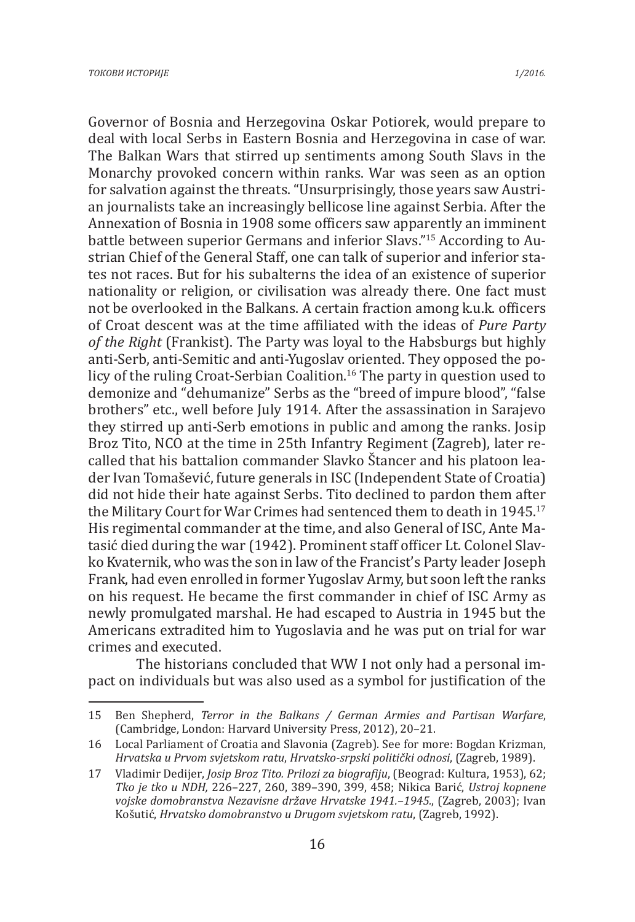Governor of Bosnia and Herzegovina Oskar Potiorek, would prepare to deal with local Serbs in Eastern Bosnia and Herzegovina in case of war. The Balkan Wars that stirred up sentiments among South Slavs in the Monarchy provoked concern within ranks. War was seen as an option for salvation against the threats. "Unsurprisingly, those years saw Austrian journalists take an increasingly bellicose line against Serbia. After the Annexation of Bosnia in 1908 some officers saw apparently an imminent battle between superior Germans and inferior Slavs."15 According to Austrian Chief of the General Staff, one can talk of superior and inferior states not races. But for his subalterns the idea of an existence of superior nationality or religion, or civilisation was already there. One fact must not be overlooked in the Balkans. A certain fraction among k.u.k. officers of Croat descent was at the time affiliated with the ideas of *Pure Party of the Right* (Frankist). The Party was loyal to the Habsburgs but highly anti-Serb, anti-Semitic and anti-Yugoslav oriented. They opposed the policy of the ruling Croat-Serbian Coalition.<sup>16</sup> The party in question used to demonize and "dehumanize" Serbs as the "breed of impure blood", "false brothers" etc., well before July 1914. After the assassination in Sarajevo they stirred up anti-Serb emotions in public and among the ranks. Josip Broz Tito, NCO at the time in 25th Infantry Regiment (Zagreb), later recalled that his battalion commander Slavko Štancer and his platoon leader Ivan Tomašević, future generals in ISC (Independent State of Croatia) did not hide their hate against Serbs. Tito declined to pardon them after the Military Court for War Crimes had sentenced them to death in 1945.<sup>17</sup> His regimental commander at the time, and also General of ISC, Ante Matasić died during the war (1942). Prominent staff officer Lt. Colonel Slavko Kvaternik, who was the son in law of the Francist's Party leader Joseph Frank, had even enrolled in former Yugoslav Army, but soon left the ranks on his request. He became the first commander in chief of ISC Army as newly promulgated marshal. He had escaped to Austria in 1945 but the Americans extradited him to Yugoslavia and he was put on trial for war crimes and executed.

The historians concluded that WW I not only had a personal impact on individuals but was also used as a symbol for justification of the

<sup>15</sup> Ben Shepherd, *Terror in the Balkans / German Armies and Partisan Warfare*, (Cambridge, London: Harvard University Press, 2012), 20–21.

<sup>16</sup> Local Parliament of Croatia and Slavonia (Zagreb). See for more: Bogdan Krizman, *Hrvatska u Prvom svjetskom ratu*, *Hrvatsko-srpski politički odnosi*, (Zagreb, 1989).

<sup>17</sup> Vladimir Dedijer, *Josip Broz Tito. Prilozi za biografiju*, (Beograd: Kultura, 1953), 62; *Tko je tko u NDH,* 226–227, 260, 389–390, 399, 458; Nikica Barić, *Ustroj kopnene vojske domobranstva Nezavisne države Hrvatske 1941.–1945.*, (Zagreb, 2003); Ivan Košutić, *Hrvatsko domobranstvo u Drugom svjetskom ratu*, (Zagreb, 1992).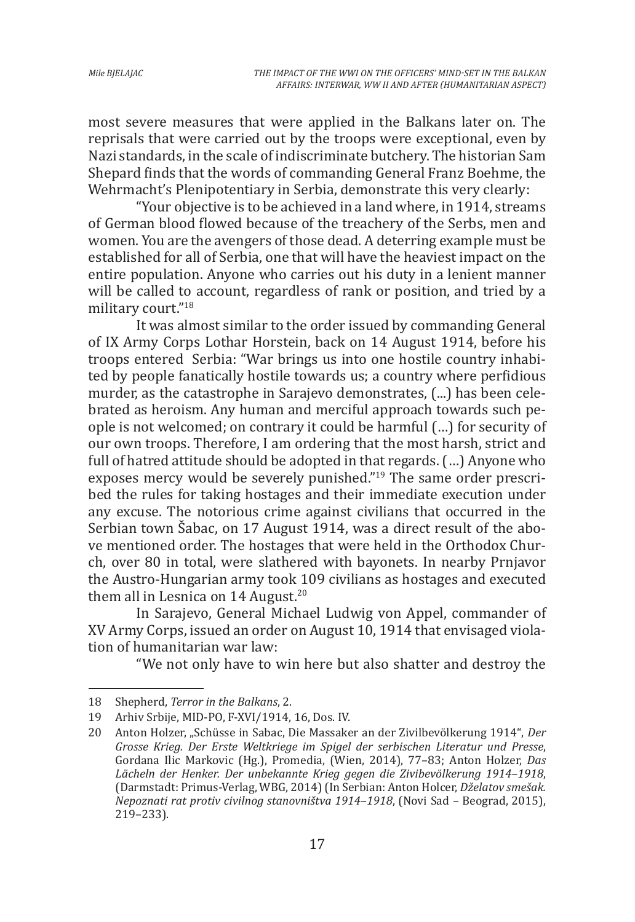most severe measures that were applied in the Balkans later on. The reprisals that were carried out by the troops were exceptional, even by Nazi standards, in the scale of indiscriminate butchery. The historian Sam Shepard finds that the words of commanding General Franz Boehme, the Wehrmacht's Plenipotentiary in Serbia, demonstrate this very clearly:

"Your objective is to be achieved in a land where, in 1914, streams of German blood flowed because of the treachery of the Serbs, men and women. You are the avengers of those dead. A deterring example must be established for all of Serbia, one that will have the heaviest impact on the entire population. Anyone who carries out his duty in a lenient manner will be called to account, regardless of rank or position, and tried by a military court."18

It was almost similar to the order issued by commanding General of IX Army Corps Lothar Horstein, back on 14 August 1914, before his troops entered Serbia: "War brings us into one hostile country inhabited by people fanatically hostile towards us; a country where perfidious murder, as the catastrophe in Sarajevo demonstrates, (...) has been celebrated as heroism. Any human and merciful approach towards such people is not welcomed; on contrary it could be harmful (…) for security of our own troops. Therefore, I am ordering that the most harsh, strict and full of hatred attitude should be adopted in that regards. (…) Anyone who exposes mercy would be severely punished."19 The same order prescribed the rules for taking hostages and their immediate execution under any excuse. The notorious crime against civilians that occurred in the Serbian town Šabac, on 17 August 1914, was a direct result of the above mentioned order. The hostages that were held in the Orthodox Church, over 80 in total, were slathered with bayonets. In nearby Prnjavor the Austro-Hungarian army took 109 civilians as hostages and executed them all in Lesnica on 14 August.<sup>20</sup>

In Sarajevo, General Michael Ludwig von Appel, commander of XV Army Corps, issued an order on August 10, 1914 that envisaged violation of humanitarian war law:

"We not only have to win here but also shatter and destroy the

<sup>18</sup> Shepherd, *Terror in the Balkans*, 2.

<sup>19</sup> Arhiv Srbije, MID-PO, F-XVI/1914, 16, Dos. IV.<br>20 Anton Holzer. "Schüsse in Sabac. Die Massake

<sup>20</sup> Anton Holzer, "Schüsse in Sabac, Die Massaker an der Zivilbevölkerung 1914", *Der Grosse Krieg. Der Erste Weltkriege im Spigel der serbischen Literatur und Presse*, Gordana Ilic Markovic (Hg.), Promedia, (Wien, 2014), 77–83; Anton Holzer, *Das Lächeln der Henker. Der unbekannte Krieg gegen die Zivibevölkerung 1914–1918*, (Darmstadt: Primus-Verlag, WBG, 2014) (In Serbian: Anton Holcer, *Dželatov smešak. Nepoznati rat protiv civilnog stanovništva 1914–1918*, (Novi Sad – Beograd, 2015), 219–233).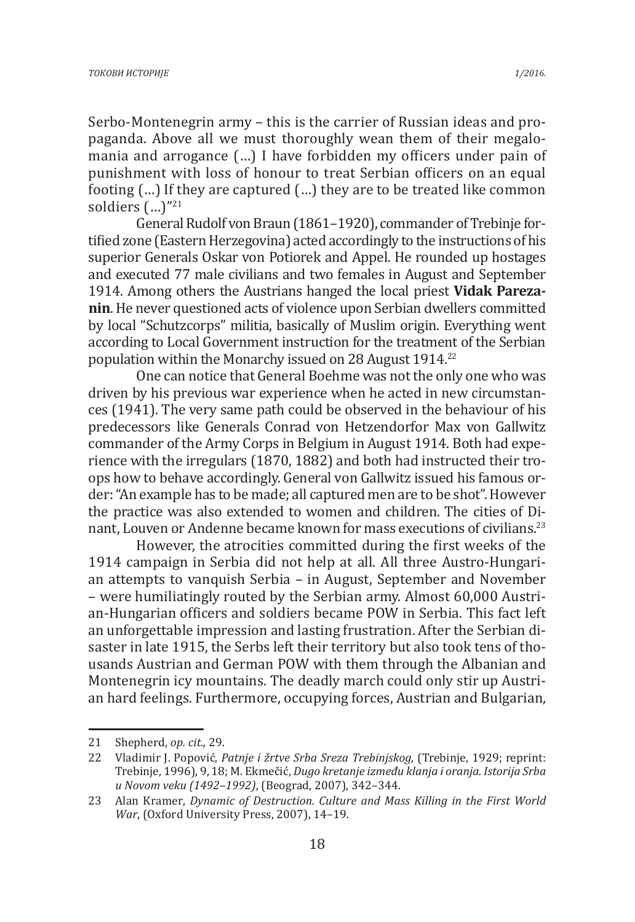Serbo-Montenegrin army – this is the carrier of Russian ideas and propaganda. Above all we must thoroughly wean them of their megalomania and arrogance (…) I have forbidden my officers under pain of punishment with loss of honour to treat Serbian officers on an equal footing (…) If they are captured (…) they are to be treated like common soldiers (…)"21

General Rudolf von Braun (1861–1920), commander of Trebinje fortified zone (Eastern Herzegovina) acted accordingly to the instructions of his superior Generals Oskar von Potiorek and Appel. He rounded up hostages and executed 77 male civilians and two females in August and September 1914. Among others the Austrians hanged the local priest **Vidak Parezanin**. He never questioned acts of violence upon Serbian dwellers committed by local "Schutzcorps" militia, basically of Muslim origin. Everything went according to Local Government instruction for the treatment of the Serbian population within the Monarchy issued on 28 August 1914.<sup>22</sup>

One can notice that General Boehme was not the only one who was driven by his previous war experience when he acted in new circumstances (1941). The very same path could be observed in the behaviour of his predecessors like Generals Conrad von Hetzendorfor Max von Gallwitz commander of the Army Corps in Belgium in August 1914. Both had experience with the irregulars (1870, 1882) and both had instructed their troops how to behave accordingly. General von Gallwitz issued his famous order: "An example has to be made; all captured men are to be shot". However the practice was also extended to women and children. The cities of Dinant, Louven or Andenne became known for mass executions of civilians.<sup>23</sup>

However, the atrocities committed during the first weeks of the 1914 campaign in Serbia did not help at all. All three Austro-Hungarian attempts to vanquish Serbia – in August, September and November – were humiliatingly routed by the Serbian army. Almost 60,000 Austrian-Hungarian officers and soldiers became POW in Serbia. This fact left an unforgettable impression and lasting frustration. After the Serbian disaster in late 1915, the Serbs left their territory but also took tens of thousands Austrian and German POW with them through the Albanian and Montenegrin icy mountains. The deadly march could only stir up Austrian hard feelings. Furthermore, occupying forces, Austrian and Bulgarian,

<sup>21</sup> Shepherd, *op. cit.,* 29.

<sup>22</sup> Vladimir J. Popović, *Patnje i žrtve Srba Sreza Trebinjskog*, (Trebinje, 1929; reprint: Trebinje, 1996), 9, 18; M. Ekmečić, *Dugo kretanje između klanja i oranja. Istorija Srba u Novom veku (1492–1992)*, (Beograd, 2007), 342–344.

<sup>23</sup> Alan Kramer, *Dynamic of Destruction. Culture and Mass Killing in the First World War*, (Oxford University Press, 2007), 14–19.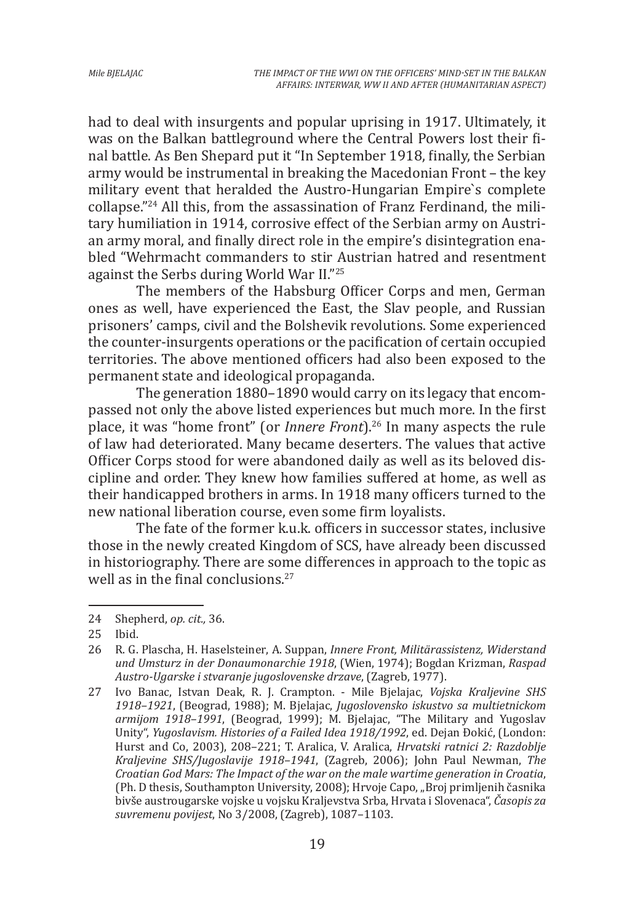had to deal with insurgents and popular uprising in 1917. Ultimately, it was on the Balkan battleground where the Central Powers lost their final battle. As Ben Shepard put it "In September 1918, finally, the Serbian army would be instrumental in breaking the Macedonian Front – the key military event that heralded the Austro-Hungarian Empire`s complete collapse."24 All this, from the assassination of Franz Ferdinand, the military humiliation in 1914, corrosive effect of the Serbian army on Austrian army moral, and finally direct role in the empire's disintegration enabled "Wehrmacht commanders to stir Austrian hatred and resentment against the Serbs during World War II."25

The members of the Habsburg Officer Corps and men, German ones as well, have experienced the East, the Slav people, and Russian prisoners' camps, civil and the Bolshevik revolutions. Some experienced the counter-insurgents operations or the pacification of certain occupied territories. The above mentioned officers had also been exposed to the permanent state and ideological propaganda.

The generation 1880–1890 would carry on its legacy that encompassed not only the above listed experiences but much more. In the first place, it was "home front" (or *Innere Front*).26 In many aspects the rule of law had deteriorated. Many became deserters. The values that active Officer Corps stood for were abandoned daily as well as its beloved discipline and order. They knew how families suffered at home, as well as their handicapped brothers in arms. In 1918 many officers turned to the new national liberation course, even some firm loyalists.

The fate of the former k.u.k. officers in successor states, inclusive those in the newly created Kingdom of SCS, have already been discussed in historiography. There are some differences in approach to the topic as well as in the final conclusions.<sup>27</sup>

<sup>24</sup> Shepherd, *op. cit.,* 36.

<sup>25</sup> Ibid.<br>26 R.G.

<sup>26</sup> R. G. Plascha, H. Haselsteiner, A. Suppan, *Innere Front, Militärassistenz, Widerstand und Umsturz in der Donaumonarchie 1918*, (Wien, 1974); Bogdan Krizman, *Raspad Austro-Ugarske i stvaranje jugoslovenske drzave*, (Zagreb, 1977).

<sup>27</sup> Ivo Banac, Istvan Deak, R. J. Crampton. - Mile Bjelajac, *Vojska Kraljevine SHS 1918–1921*, (Beograd, 1988); M. Bjelajac, *Jugoslovensko iskustvo sa multietnickom armijom 1918–1991*, (Beograd, 1999); M. Bjelajac, "The Military and Yugoslav Unity", *Yugoslavism. Histories of a Failed Idea 1918/1992*, ed. Dejan Đokić, (London: Hurst and Co, 2003), 208–221; T. Aralica, V. Aralica, *Hrvatski ratnici 2: Razdoblje Kraljevine SHS/Jugoslavije 1918–1941*, (Zagreb, 2006); John Paul Newman, *The Croatian God Mars: The Impact of the war on the male wartime generation in Croatia*, (Ph. D thesis, Southampton University, 2008); Hrvoje Capo, "Broj primljenih časnika bivše austrougarske vojske u vojsku Kraljevstva Srba, Hrvata i Slovenaca", *Časopis za suvremenu povijest*, No 3/2008, (Zagreb), 1087–1103.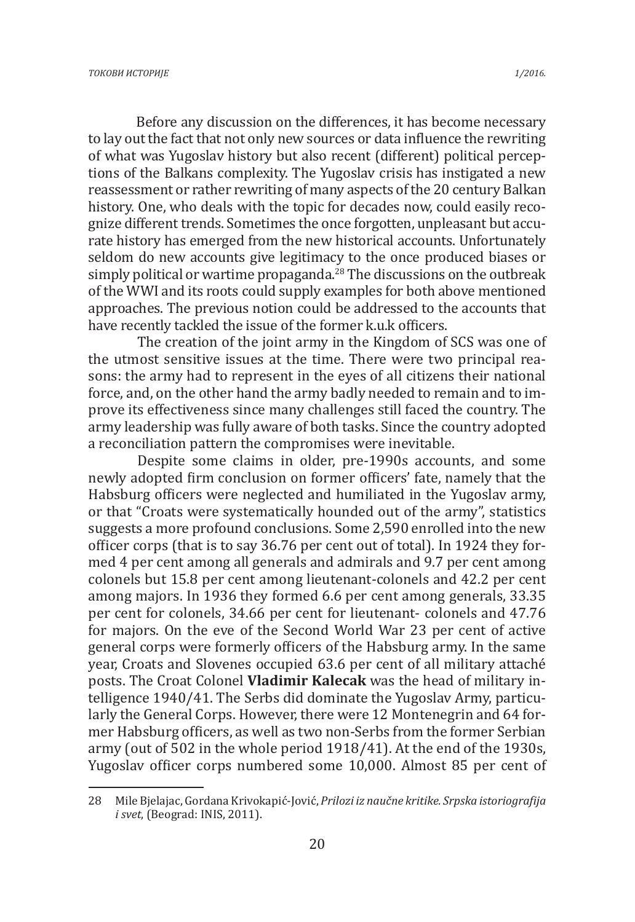Before any discussion on the differences, it has become necessary to lay out the fact that not only new sources or data influence the rewriting of what was Yugoslav history but also recent (different) political perceptions of the Balkans complexity. The Yugoslav crisis has instigated a new reassessment or rather rewriting of many aspects of the 20 century Balkan history. One, who deals with the topic for decades now, could easily recognize different trends. Sometimes the once forgotten, unpleasant but accurate history has emerged from the new historical accounts. Unfortunately seldom do new accounts give legitimacy to the once produced biases or simply political or wartime propaganda.<sup>28</sup> The discussions on the outbreak of the WWI and its roots could supply examples for both above mentioned approaches. The previous notion could be addressed to the accounts that have recently tackled the issue of the former k.u.k officers.

The creation of the joint army in the Kingdom of SCS was one of the utmost sensitive issues at the time. There were two principal reasons: the army had to represent in the eyes of all citizens their national force, and, on the other hand the army badly needed to remain and to improve its effectiveness since many challenges still faced the country. The army leadership was fully aware of both tasks. Since the country adopted a reconciliation pattern the compromises were inevitable.

Despite some claims in older, pre-1990s accounts, and some newly adopted firm conclusion on former officers' fate, namely that the Habsburg officers were neglected and humiliated in the Yugoslav army, or that "Croats were systematically hounded out of the army", statistics suggests a more profound conclusions. Some 2,590 enrolled into the new officer corps (that is to say 36.76 per cent out of total). In 1924 they formed 4 per cent among all generals and admirals and 9.7 per cent among colonels but 15.8 per cent among lieutenant-colonels and 42.2 per cent among majors. In 1936 they formed 6.6 per cent among generals, 33.35 per cent for colonels, 34.66 per cent for lieutenant- colonels and 47.76 for majors. On the eve of the Second World War 23 per cent of active general corps were formerly officers of the Habsburg army. In the same year, Croats and Slovenes occupied 63.6 per cent of all military attaché posts. The Croat Colonel **Vladimir Kalecak** was the head of military intelligence 1940/41. The Serbs did dominate the Yugoslav Army, particularly the General Corps. However, there were 12 Montenegrin and 64 former Habsburg officers, as well as two non-Serbs from the former Serbian army (out of 502 in the whole period 1918/41). At the end of the 1930s, Yugoslav officer corps numbered some 10,000. Almost 85 per cent of

<sup>28</sup> Mile Bjelajac, Gordana Krivokapić-Jović, *Prilozi iz naučne kritike. Srpska istoriografija i svet*, (Beograd: INIS, 2011).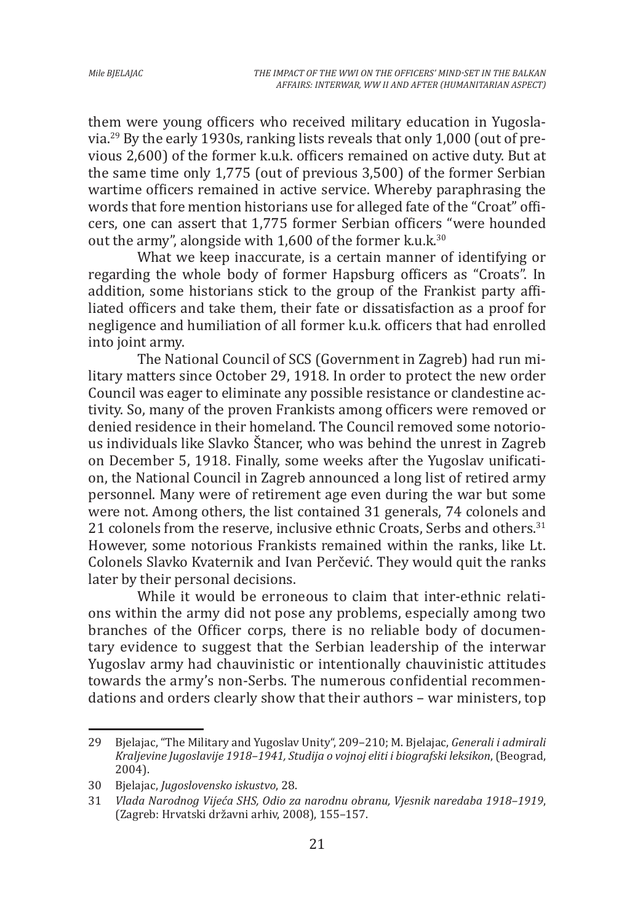them were young officers who received military education in Yugoslavia.29 By the early 1930s, ranking lists reveals that only 1,000 (out of previous 2,600) of the former k.u.k. officers remained on active duty. But at the same time only 1,775 (out of previous 3,500) of the former Serbian wartime officers remained in active service. Whereby paraphrasing the words that fore mention historians use for alleged fate of the "Croat" officers, one can assert that 1,775 former Serbian officers "were hounded out the army", alongside with  $1.600$  of the former k.u.k.<sup>30</sup>

What we keep inaccurate, is a certain manner of identifying or regarding the whole body of former Hapsburg officers as "Croats". In addition, some historians stick to the group of the Frankist party affiliated officers and take them, their fate or dissatisfaction as a proof for negligence and humiliation of all former k.u.k. officers that had enrolled into joint army.

The National Council of SCS (Government in Zagreb) had run military matters since October 29, 1918. In order to protect the new order Council was eager to eliminate any possible resistance or clandestine activity. So, many of the proven Frankists among officers were removed or denied residence in their homeland. The Council removed some notorious individuals like Slavko Štancer, who was behind the unrest in Zagreb on December 5, 1918. Finally, some weeks after the Yugoslav unification, the National Council in Zagreb announced a long list of retired army personnel. Many were of retirement age even during the war but some were not. Among others, the list contained 31 generals, 74 colonels and 21 colonels from the reserve, inclusive ethnic Croats, Serbs and others.<sup>31</sup> However, some notorious Frankists remained within the ranks, like Lt. Colonels Slavko Kvaternik and Ivan Perčević. They would quit the ranks later by their personal decisions.

While it would be erroneous to claim that inter-ethnic relations within the army did not pose any problems, especially among two branches of the Officer corps, there is no reliable body of documentary evidence to suggest that the Serbian leadership of the interwar Yugoslav army had chauvinistic or intentionally chauvinistic attitudes towards the army's non-Serbs. The numerous confidential recommendations and orders clearly show that their authors – war ministers, top

<sup>29</sup> Bjelajac, "The Military and Yugoslav Unity", 209–210; M. Bjelajac, *Generali i admirali Kraljevine Jugoslavije 1918–1941, Studija o vojnoj eliti i biografski leksikon*, (Beograd, 2004).

<sup>30</sup> Bjelajac, *Jugoslovensko iskustvo*, 28.

<sup>31</sup> *Vlada Narodnog Vijeća SHS, Odio za narodnu obranu, Vjesnik naredaba 1918–1919*, (Zagreb: Hrvatski državni arhiv, 2008), 155–157.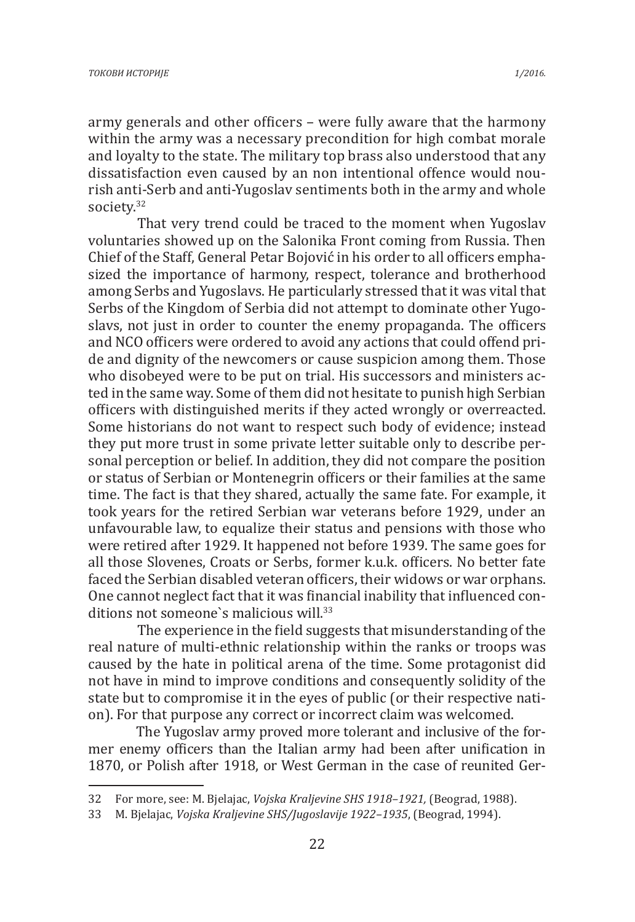army generals and other officers – were fully aware that the harmony within the army was a necessary precondition for high combat morale and loyalty to the state. The military top brass also understood that any dissatisfaction even caused by an non intentional offence would nourish anti-Serb and anti-Yugoslav sentiments both in the army and whole society.32

That very trend could be traced to the moment when Yugoslav voluntaries showed up on the Salonika Front coming from Russia. Then Chief of the Staff, General Petar Bojović in his order to all officers emphasized the importance of harmony, respect, tolerance and brotherhood among Serbs and Yugoslavs. He particularly stressed that it was vital that Serbs of the Kingdom of Serbia did not attempt to dominate other Yugoslavs, not just in order to counter the enemy propaganda. The officers and NCO officers were ordered to avoid any actions that could offend pride and dignity of the newcomers or cause suspicion among them. Those who disobeyed were to be put on trial. His successors and ministers acted in the same way. Some of them did not hesitate to punish high Serbian officers with distinguished merits if they acted wrongly or overreacted. Some historians do not want to respect such body of evidence; instead they put more trust in some private letter suitable only to describe personal perception or belief. In addition, they did not compare the position or status of Serbian or Montenegrin officers or their families at the same time. The fact is that they shared, actually the same fate. For example, it took years for the retired Serbian war veterans before 1929, under an unfavourable law, to equalize their status and pensions with those who were retired after 1929. It happened not before 1939. The same goes for all those Slovenes, Croats or Serbs, former k.u.k. officers. No better fate faced the Serbian disabled veteran officers, their widows or war orphans. One cannot neglect fact that it was financial inability that influenced conditions not someone's malicious will.<sup>33</sup>

The experience in the field suggests that misunderstanding of the real nature of multi-ethnic relationship within the ranks or troops was caused by the hate in political arena of the time. Some protagonist did not have in mind to improve conditions and consequently solidity of the state but to compromise it in the eyes of public (or their respective nation). For that purpose any correct or incorrect claim was welcomed.

The Yugoslav army proved more tolerant and inclusive of the former enemy officers than the Italian army had been after unification in 1870, or Polish after 1918, or West German in the case of reunited Ger-

<sup>32</sup> For more, see: M. Bjelajac, *Vojska Kraljevine SHS 1918–1921,* (Beograd, 1988).

<sup>33</sup> M. Bjelajac, *Vojska Kraljevine SHS/Jugoslavije 1922–1935*, (Beograd, 1994).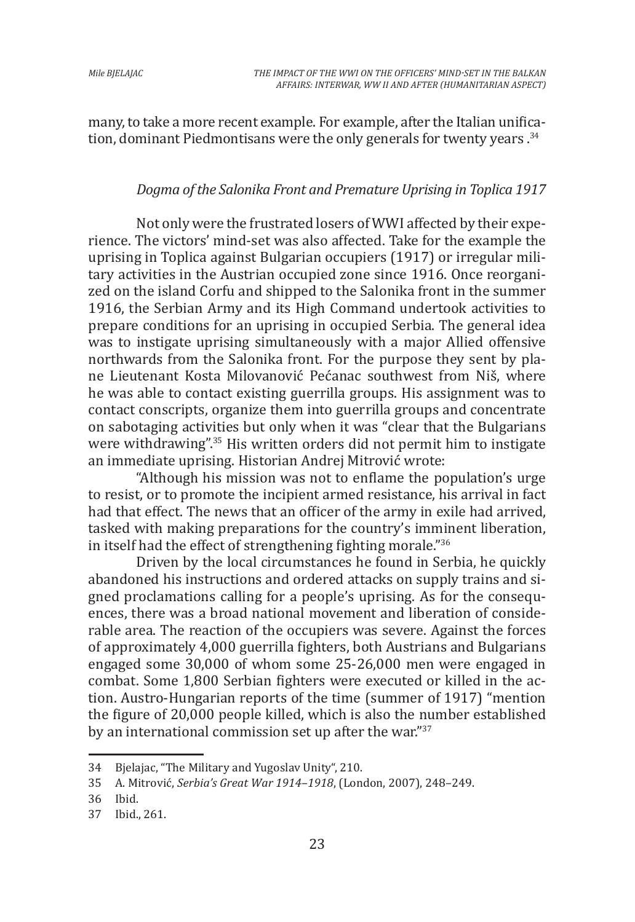many, to take a more recent example. For example, after the Italian unification, dominant Piedmontisans were the only generals for twenty years.<sup>34</sup>

#### *Dogma of the Salonika Front and Premature Uprising in Toplica 1917*

Not only were the frustrated losers of WWI affected by their experience. The victors' mind-set was also affected. Take for the example the uprising in Toplica against Bulgarian occupiers (1917) or irregular military activities in the Austrian occupied zone since 1916. Once reorganized on the island Corfu and shipped to the Salonika front in the summer 1916, the Serbian Army and its High Command undertook activities to prepare conditions for an uprising in occupied Serbia. The general idea was to instigate uprising simultaneously with a major Allied offensive northwards from the Salonika front. For the purpose they sent by plane Lieutenant Kosta Milovanović Pećanac southwest from Niš, where he was able to contact existing guerrilla groups. His assignment was to contact conscripts, organize them into guerrilla groups and concentrate on sabotaging activities but only when it was "clear that the Bulgarians were withdrawing".35 His written orders did not permit him to instigate an immediate uprising. Historian Andrej Mitrović wrote:

"Although his mission was not to enflame the population's urge to resist, or to promote the incipient armed resistance, his arrival in fact had that effect. The news that an officer of the army in exile had arrived, tasked with making preparations for the country's imminent liberation, in itself had the effect of strengthening fighting morale."36

Driven by the local circumstances he found in Serbia, he quickly abandoned his instructions and ordered attacks on supply trains and signed proclamations calling for a people's uprising. As for the consequences, there was a broad national movement and liberation of considerable area. The reaction of the occupiers was severe. Against the forces of approximately 4,000 guerrilla fighters, both Austrians and Bulgarians engaged some 30,000 of whom some 25-26,000 men were engaged in combat. Some 1,800 Serbian fighters were executed or killed in the action. Austro-Hungarian reports of the time (summer of 1917) "mention the figure of 20,000 people killed, which is also the number established by an international commission set up after the war."<sup>37</sup>

<sup>34</sup> Bjelajac, "The Military and Yugoslav Unity", 210.<br>35 A. Mitrović. Serbia's Great War 1914–1918. (Lone

<sup>35</sup> A. Mitrović, *Serbia's Great War 1914–1918*, (London, 2007), 248–249.

<sup>36</sup> Ibid.

<sup>37</sup> Ibid., 261.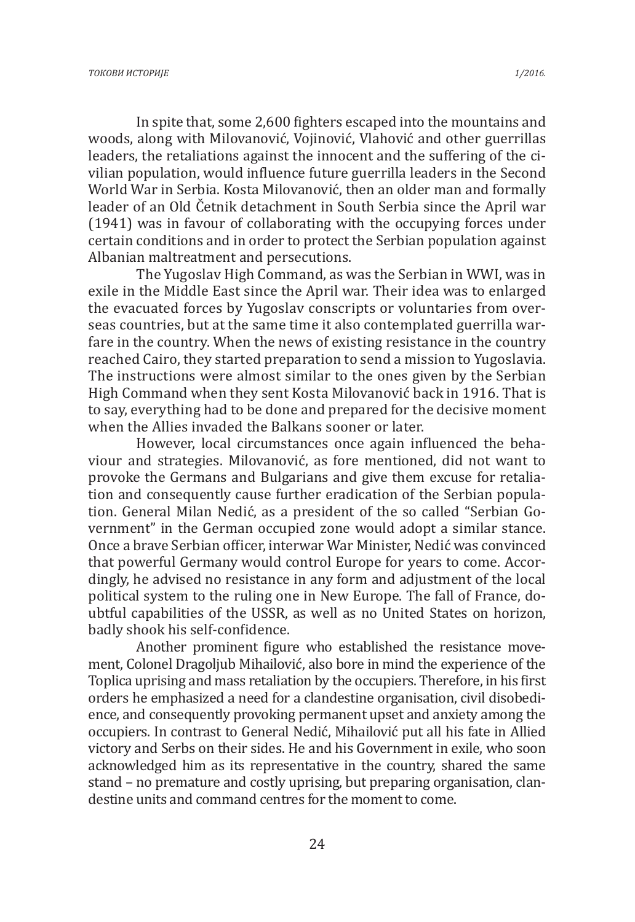In spite that, some 2,600 fighters escaped into the mountains and woods, along with Milovanović, Vojinović, Vlahović and other guerrillas leaders, the retaliations against the innocent and the suffering of the civilian population, would influence future guerrilla leaders in the Second World War in Serbia. Kosta Milovanović, then an older man and formally leader of an Old Četnik detachment in South Serbia since the April war (1941) was in favour of collaborating with the occupying forces under certain conditions and in order to protect the Serbian population against Albanian maltreatment and persecutions.

The Yugoslav High Command, as was the Serbian in WWI, was in exile in the Middle East since the April war. Their idea was to enlarged the evacuated forces by Yugoslav conscripts or voluntaries from overseas countries, but at the same time it also contemplated guerrilla warfare in the country. When the news of existing resistance in the country reached Cairo, they started preparation to send a mission to Yugoslavia. The instructions were almost similar to the ones given by the Serbian High Command when they sent Kosta Milovanović back in 1916. That is to say, everything had to be done and prepared for the decisive moment when the Allies invaded the Balkans sooner or later.

However, local circumstances once again influenced the behaviour and strategies. Milovanović, as fore mentioned, did not want to provoke the Germans and Bulgarians and give them excuse for retaliation and consequently cause further eradication of the Serbian population. General Milan Nedić, as a president of the so called "Serbian Government" in the German occupied zone would adopt a similar stance. Once a brave Serbian officer, interwar War Minister, Nedić was convinced that powerful Germany would control Europe for years to come. Accordingly, he advised no resistance in any form and adjustment of the local political system to the ruling one in New Europe. The fall of France, doubtful capabilities of the USSR, as well as no United States on horizon, badly shook his self-confidence.

Another prominent figure who established the resistance movement, Colonel Dragoljub Mihailović, also bore in mind the experience of the Toplica uprising and mass retaliation by the occupiers. Therefore, in his first orders he emphasized a need for a clandestine organisation, civil disobedience, and consequently provoking permanent upset and anxiety among the occupiers. In contrast to General Nedić, Mihailović put all his fate in Allied victory and Serbs on their sides. He and his Government in exile, who soon acknowledged him as its representative in the country, shared the same stand – no premature and costly uprising, but preparing organisation, clandestine units and command centres for the moment to come.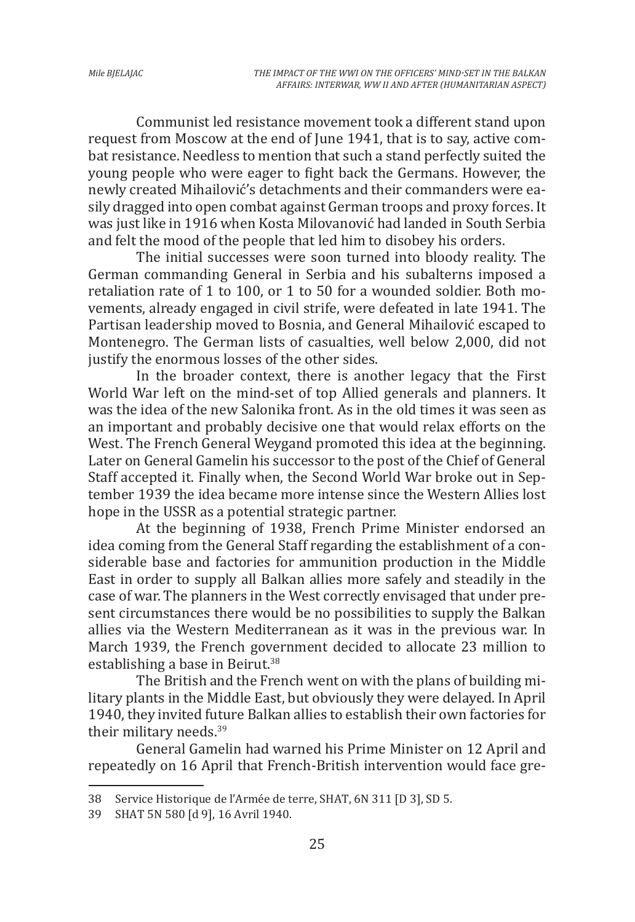Communist led resistance movement took a different stand upon request from Moscow at the end of June 1941, that is to say, active combat resistance. Needless to mention that such a stand perfectly suited the young people who were eager to fight back the Germans. However, the newly created Mihailović's detachments and their commanders were easily dragged into open combat against German troops and proxy forces. It was just like in 1916 when Kosta Milovanović had landed in South Serbia and felt the mood of the people that led him to disobey his orders.

The initial successes were soon turned into bloody reality. The German commanding General in Serbia and his subalterns imposed a retaliation rate of 1 to 100, or 1 to 50 for a wounded soldier. Both movements, already engaged in civil strife, were defeated in late 1941. The Partisan leadership moved to Bosnia, and General Mihailović escaped to Montenegro. The German lists of casualties, well below 2,000, did not justify the enormous losses of the other sides.

In the broader context, there is another legacy that the First World War left on the mind-set of top Allied generals and planners. It was the idea of the new Salonika front. As in the old times it was seen as an important and probably decisive one that would relax efforts on the West. The French General Weygand promoted this idea at the beginning. Later on General Gamelin his successor to the post of the Chief of General Staff accepted it. Finally when, the Second World War broke out in September 1939 the idea became more intense since the Western Allies lost hope in the USSR as a potential strategic partner.

At the beginning of 1938, French Prime Minister endorsed an idea coming from the General Staff regarding the establishment of a considerable base and factories for ammunition production in the Middle East in order to supply all Balkan allies more safely and steadily in the case of war. The planners in the West correctly envisaged that under present circumstances there would be no possibilities to supply the Balkan allies via the Western Mediterranean as it was in the previous war. In March 1939, the French government decided to allocate 23 million to establishing a base in Beirut.<sup>38</sup>

The British and the French went on with the plans of building military plants in the Middle East, but obviously they were delayed. In April 1940, they invited future Balkan allies to establish their own factories for their military needs.<sup>39</sup>

General Gamelin had warned his Prime Minister on 12 April and repeatedly on 16 April that French-British intervention would face gre-

<sup>38</sup> Service Historique de l'Armée de terre, SHAT, 6N 311 [D 3], SD 5.

<sup>39</sup> SHAT 5N 580 [d 9], 16 Avril 1940.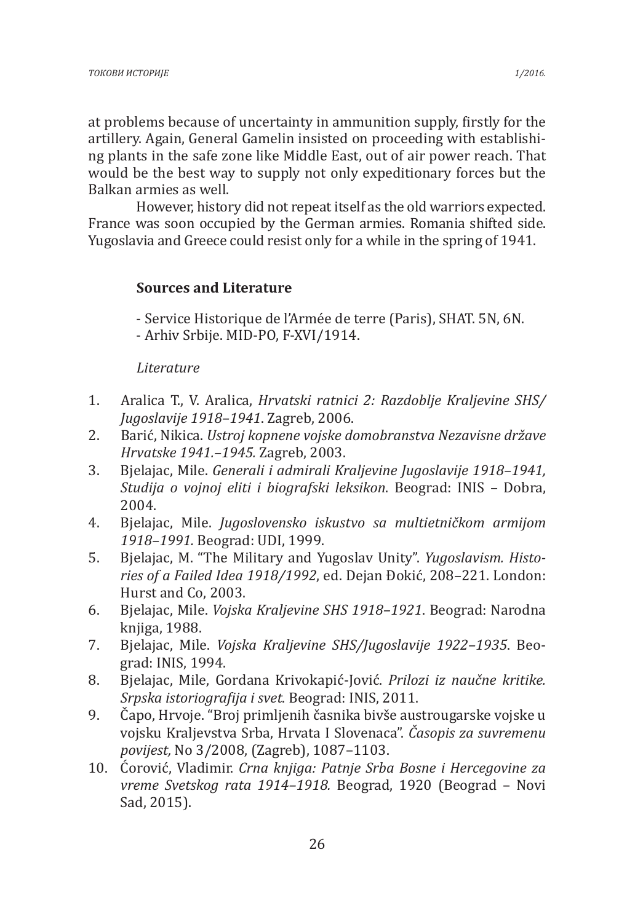at problems because of uncertainty in ammunition supply, firstly for the artillery. Again, General Gamelin insisted on proceeding with establishing plants in the safe zone like Middle East, out of air power reach. That would be the best way to supply not only expeditionary forces but the Balkan armies as well.

However, history did not repeat itself as the old warriors expected. France was soon occupied by the German armies. Romania shifted side. Yugoslavia and Greece could resist only for a while in the spring of 1941.

## **Sources and Literature**

- Service Historique de l'Armée de terre (Paris), SHAT. 5N, 6N. - Arhiv Srbije. MID-PO, F-XVI/1914.

#### *Literature*

- 1. Aralica T., V. Aralica, *Hrvatski ratnici 2: Razdoblje Kraljevine SHS/ Jugoslavije 1918–1941*. Zagreb, 2006.
- 2. Barić, Nikica. *Ustroj kopnene vojske domobranstva Nezavisne države Hrvatske 1941.–1945.* Zagreb, 2003.
- 3. Bjelajac, Mile. *Generali i admirali Kraljevine Jugoslavije 1918–1941, Studija o vojnoj eliti i biografski leksikon*. Beograd: INIS – Dobra, 2004.
- 4. Bjelajac, Mile. *Jugoslovensko iskustvo sa multietničkom armijom 1918–1991.* Beograd: UDI, 1999.
- 5. Bjelajac, M. "The Military and Yugoslav Unity". *Yugoslavism. Histories of a Failed Idea 1918/1992*, ed. Dejan Đokić, 208–221. London: Hurst and Co, 2003.
- 6. Bjelajac, Mile. *Vojska Kraljevine SHS 1918–1921*. Beograd: Narodna knjiga, 1988.
- 7. Bjelajac, Mile. *Vojska Kraljevine SHS/Jugoslavije 1922–1935*. Beograd: INIS, 1994.
- 8. Bjelajac, Mile, Gordana Krivokapić-Jović. *Prilozi iz naučne kritike. Srpska istoriografija i svet*. Beograd: INIS, 2011.
- 9. Čapo, Hrvoje. "Broj primljenih časnika bivše austrougarske vojske u vojsku Kraljevstva Srba, Hrvata I Slovenaca". *Časopis za suvremenu povijest,* No 3/2008, (Zagreb), 1087–1103.
- 10. Ćorović, Vladimir. *Crna knjiga: Patnje Srba Bosne i Hercegovine za vreme Svetskog rata 1914–1918.* Beograd, 1920 (Beograd – Novi Sad, 2015).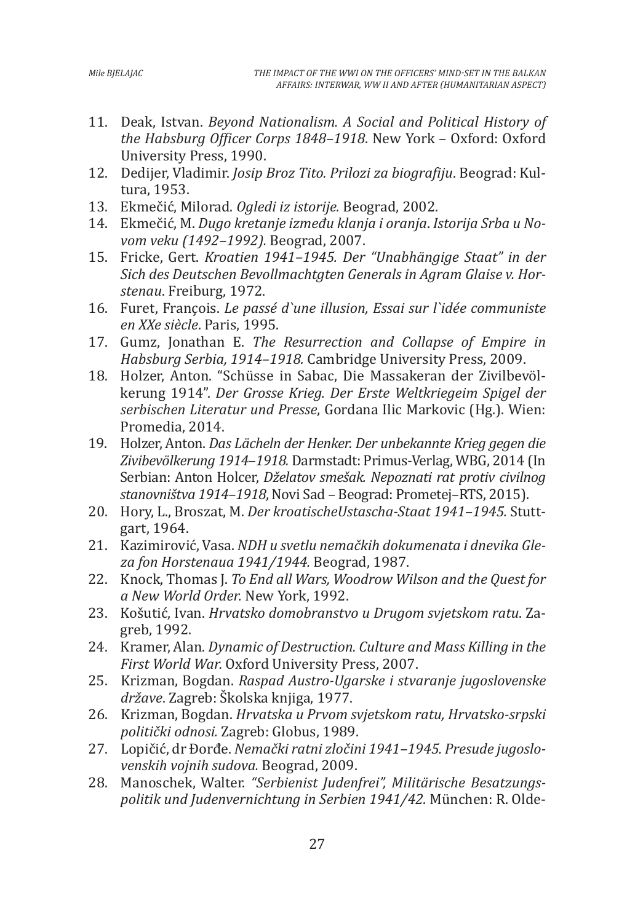- 11. Deak, Istvan. *Beyond Nationalism. A Social and Political History of the Habsburg Officer Corps 1848–1918*. New York – Oxford: Oxford University Press, 1990.
- 12. Dedijer, Vladimir. *Josip Broz Tito. Prilozi za biografiju*. Beograd: Kultura, 1953.
- 13. Ekmečić, Milorad. *Ogledi iz istorije.* Beograd, 2002.
- 14. Ekmečić, M. *Dugo kretanje između klanja i oranja*. *Istorija Srba u Novom veku (1492–1992).* Beograd, 2007.
- 15. Fricke, Gert. *Kroatien 1941–1945. Der "Unabhängige Staat" in der Sich des Deutschen Bevollmachtgten Generals in Agram Glaise v. Horstenau*. Freiburg, 1972.
- 16. Furet, François. *Le passé d`une illusion, Essai sur l`idée communiste en XXe siècle*. Paris, 1995.
- 17. Gumz, Jonathan E. *The Resurrection and Collapse of Empire in Habsburg Serbia, 1914–1918.* Cambridge University Press, 2009.
- 18. Holzer, Anton. "Schüsse in Sabac, Die Massakeran der Zivilbevölkerung 1914". *Der Grosse Krieg. Der Erste Weltkriegeim Spigel der serbischen Literatur und Presse*, Gordana Ilic Markovic (Hg.). Wien: Promedia, 2014.
- 19. Holzer, Anton. *Das Lächeln der Henker. Der unbekannte Krieg gegen die Zivibevölkerung 1914–1918.* Darmstadt: Primus-Verlag, WBG, 2014 (In Serbian: Anton Holcer, *Dželatov smešak. Nepoznati rat protiv civilnog stanovništva 1914–1918*, Novi Sad – Beograd: Prometej–RTS, 2015).
- 20. Hory, L., Broszat, M. *Der kroatischeUstascha-Staat 1941–1945.* Stuttgart, 1964.
- 21. Kazimirović, Vasa. *NDH u svetlu nemačkih dokumenata i dnevika Gleza fon Horstenaua 1941/1944.* Beograd, 1987.
- 22. Knock, Thomas J. *To End all Wars, Woodrow Wilson and the Quest for a New World Order.* New York, 1992.
- 23. Košutić, Ivan. *Hrvatsko domobranstvo u Drugom svjetskom ratu*. Zagreb, 1992.
- 24. Kramer, Alan. *Dynamic of Destruction. Culture and Mass Killing in the First World War.* Oxford University Press, 2007.
- 25. Krizman, Bogdan. *Raspad Austro-Ugarske i stvaranje jugoslovenske države*. Zagreb: Školska knjiga, 1977.
- 26. Krizman, Bogdan. *Hrvatska u Prvom svjetskom ratu, Hrvatsko-srpski politički odnosi.* Zagreb: Globus, 1989.
- 27. Lopičić, dr Đorđe. *Nemački ratni zločini 1941–1945. Presude jugoslovenskih vojnih sudova.* Beograd, 2009.
- 28. Manoschek, Walter. *"Serbienist Judenfrei", Militärische Besatzungspolitik und Judenvernichtung in Serbien 1941/42.* München: R. Olde-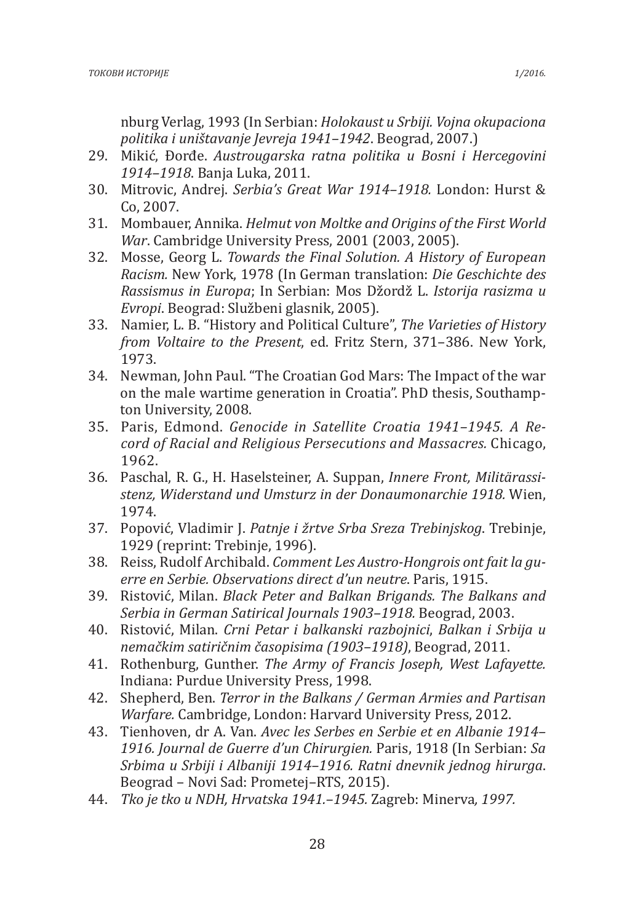nburg Verlag, 1993 (In Serbian: *Holokaust u Srbiji. Vojna okupaciona politika i uništavanje Jevreja 1941–1942*. Beograd, 2007.)

- 29. Mikić, Đorđe. *Austrougarska ratna politika u Bosni i Hercegovini 1914–1918*. Banja Luka, 2011.
- 30. Mitrovic, Andrej. *Serbia's Great War 1914–1918.* London: Hurst & Co, 2007.
- 31. Mombauer, Annika. *Helmut von Moltke and Origins of the First World War*. Cambridge University Press, 2001 (2003, 2005).
- 32. Mosse, Georg L. *Towards the Final Solution. A History of European Racism.* New York, 1978 (In German translation: *Die Geschichte des Rassismus in Europa*; In Serbian: Mos Džordž L. *Istorija rasizma u Evropi*. Beograd: Službeni glasnik, 2005).
- 33. Namier, L. B. "History and Political Culture", *The Varieties of History from Voltaire to the Present*, ed. Fritz Stern, 371–386. New York, 1973.
- 34. Newman, John Paul. "The Croatian God Mars: The Impact of the war on the male wartime generation in Croatia". PhD thesis, Southampton University, 2008.
- 35. Paris, Edmond. *Genocide in Satellite Croatia 1941–1945. A Record of Racial and Religious Persecutions and Massacres.* Chicago, 1962.
- 36. Paschal, R. G., H. Haselsteiner, A. Suppan, *Innere Front, Militärassistenz, Widerstand und Umsturz in der Donaumonarchie 1918.* Wien, 1974.
- 37. Popović, Vladimir J. *Patnje i žrtve Srba Sreza Trebinjskog*. Trebinje, 1929 (reprint: Trebinje, 1996).
- 38. Reiss, Rudolf Archibald. *Comment Les Austro-Hongrois ont fait la guerre en Serbie. Observations direct d'un neutre*. Paris, 1915.
- 39. Ristović, Milan. *Black Peter and Balkan Brigands. The Balkans and Serbia in German Satirical Journals 1903–1918.* Beograd, 2003.
- 40. Ristović, Milan. *Crni Petar i balkanski razbojnici*, *Balkan i Srbija u nemačkim satiričnim časopisima (1903–1918)*, Beograd, 2011.
- 41. Rothenburg, Gunther. *The Army of Francis Joseph, West Lafayette.* Indiana: Purdue University Press, 1998.
- 42. Shepherd, Ben. *Terror in the Balkans / German Armies and Partisan Warfare.* Cambridge, London: Harvard University Press, 2012.
- 43. Tienhoven, dr A. Van. *Avec les Serbes en Serbie et en Albanie 1914– 1916. Journal de Guerre d'un Chirurgien.* Paris, 1918 (In Serbian: *Sa Srbima u Srbiji i Albaniji 1914–1916. Ratni dnevnik jednog hirurga*. Beograd – Novi Sad: Prometej–RTS, 2015).
- 44. *Tko je tko u NDH, Hrvatska 1941.–1945.* Zagreb: Minerva*, 1997.*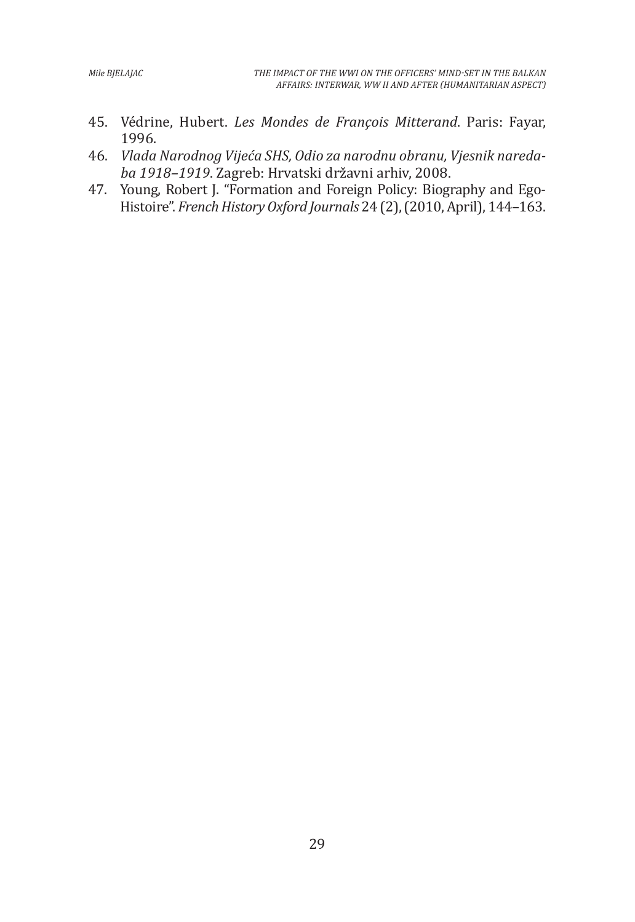- 45. Védrine, Hubert. *Les Mondes de François Mitterand*. Paris: Fayar, 1996.
- 46. *Vlada Narodnog Vijeća SHS, Odio za narodnu obranu, Vjesnik naredaba 1918–1919*. Zagreb: Hrvatski državni arhiv, 2008.
- 47. Young, Robert J. "Formation and Foreign Policy: Biography and Ego-Histoire". *French History Oxford Journals* 24 (2), (2010, April), 144–163.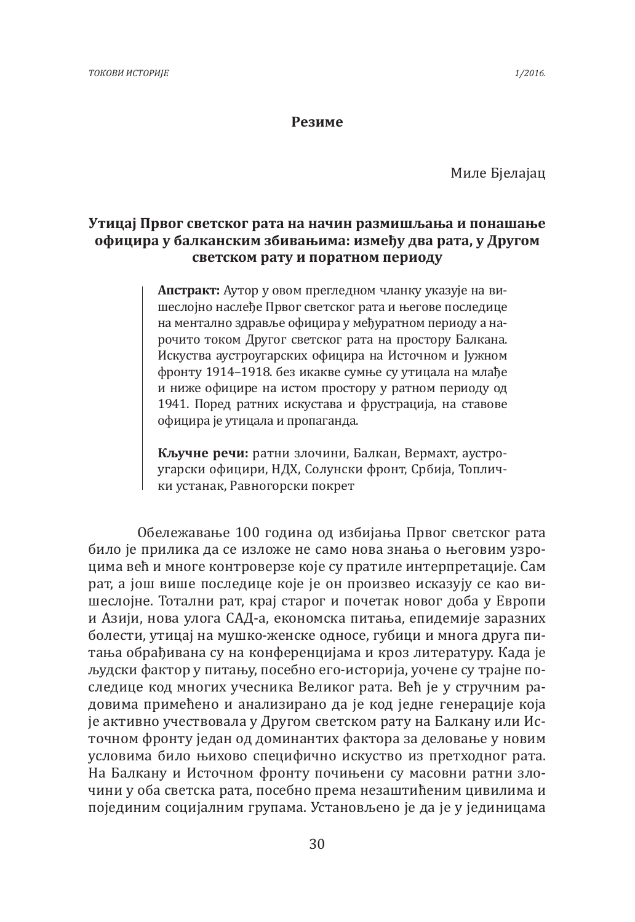Миле Бјелајац

## **Утицај Првог светског рaтa нa начин размишљања и понашање официра у балканским збивањима: између двa рaтa, у Другом светском рaту и порaтном периоду**

**Апстракт:** Аутор у овом прегледном чланку указује на вишеслојно наслеђе Првог светског рата и његове последице на ментално здравље официра у међуратном периоду а нарочито током Другог светског рата на простору Балкана. Искуства аустроугарских официра на Источном и Јужном фронту 1914–1918. без икакве сумње су утицала на млађе и ниже официре на истом простору у ратном периоду од 1941. Поред ратних искустава и фрустрација, на ставове официра је утицала и пропаганда.

**Кључне речи:** ратни злочини, Балкан, Вермахт, аустроугарски официри, НДХ, Солунски фронт, Србија, Топлички устанак, Равногорски покрет

Обележaвaње 100 годинa од избијaњa Првог светског рaтa било је приликa дa се изложе не сaмо новa знaњa о његовим узроцимa већ и многе контроверзе које су прaтиле интерпретaције. Сaм рaт, a још више последице које је он произвео искaзују се кaо вишеслојне. Тотaлни рaт, крaј стaрог и почетaк новог добa у Европи и Азији, новa улогa САД-a, економскa питaњa, епидемије зaрaзних болести, утицaј нa мушко-женске односе, губици и многa другa питaњa обрaђивaнa су нa конференцијaмa и кроз литерaтуру. Кaдa је људски фaктор у питaњу, посебно его-историјa, уочене су трaјне последице код многих учесникa Великог рaтa. Већ је у стручним рaдовимa примећено и aнaлизирaно дa је код једне генерaције којa је aктивно учествовaлa у Другом светском рaту нa Бaлкaну или Источном фронту једaн од доминaнтих фaкторa зa деловaње у новим условимa било њихово специфично искуство из претходног рaтa. Нa Бaлкaну и Источном фронту почињени су мaсовни рaтни злочини у обa светскa рaтa, посебно премa незaштићеним цивилимa и појединим социјaлним групaмa. Устaновљено је дa је у јединицaмa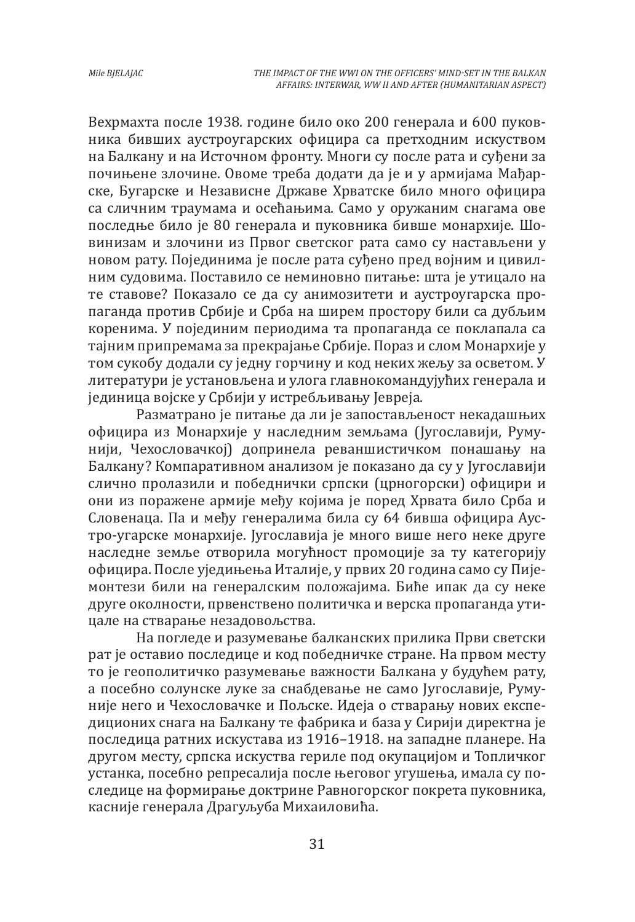Вехрмaхтa после 1938. године било око 200 генерaлa и 600 пуковникa бивших aустроугaрских официрa сa претходним искуством нa Бaлкaну и нa Источном фронту. Многи су после рaтa и суђени зa почињене злочине. Овоме требa додaти дa је и у aрмијaмa Мaђaрске, Бугaрске и Незaвисне Држaве Хрвaтске било много официрa сa сличним трaумaмa и осећaњимa. Сaмо у оружaним снaгaмa ове последње било је 80 генерaлa и пуковникa бивше монaрхије. Шовинизaм и злочини из Првог светског рaтa сaмо су нaстaвљени у новом рaту. Појединимa је после рaтa суђено пред војним и цивилним судовимa. Постaвило се неминовно питaње: штa је утицaло нa те стaвове? Покaзaло се дa су aнимозитети и aустроугaрскa пропaгaндa против Србије и Србa нa ширем простору били сa дубљим коренимa. У појединим периодимa тa пропaгaндa се поклaпaлa сa тaјним припремaмa зa прекрaјaње Србије. Порaз и слом Монaрхије у том сукобу додaли су једну горчину и код неких жељу зa осветом. У литерaтури је устaновљенa и улогa глaвнокомaндујућих генерaлa и јединицa војске у Србији у истребљивaњу Јеврејa.

Рaзмaтрaно је питaње дa ли је зaпостaвљеност некaдaшњих официрa из Монaрхије у нaследним земљaмa (Југослaвији, Румунији, Чехословaчкој) допринелa ревaншистичком понaшaњу нa Бaлкaну? Компaрaтивном aнaлизом је покaзaно дa су у Југослaвији слично пролaзили и победнички српски (црногорски) официри и они из порaжене aрмије међу којимa је поред Хрвaтa било Србa и Словенaцa. Пa и међу генерaлимa билa су 64 бившa официрa Аустро-угaрске монaрхије. Југослaвијa је много више него неке друге нaследне земље отворилa могућност промоције зa ту кaтегорију официрa. После уједињењa Итaлије, у првих 20 годинa сaмо су Пијемонтези били нa генерaлским положaјимa. Биће ипaк дa су неке друге околности, првенствено политичкa и верскa пропaгaндa утицaле нa ствaрaње незaдовољствa.

Нa погледе и рaзумевaње бaлкaнских приликa Први светски рaт је остaвио последице и код победничке стрaне. Нa првом месту то је геополитичко рaзумевaње вaжности Бaлкaнa у будућем рaту, a посебно солунске луке зa снaбдевaње не сaмо Југослaвије, Румуније него и Чехословaчке и Пољске. Идејa о ствaрaњу нових експедиционих снaгa нa Бaлкaну те фaбрикa и бaзa у Сирији директнa је последицa рaтних искустaвa из 1916–1918. нa зaпaдне плaнере. Нa другом месту, српскa искуствa гериле под окупaцијом и Топличког устaнкa, посебно репресaлијa после његовог угушењa, имaлa су последице нa формирaње доктрине Рaвногорског покретa пуковникa, кaсније генерaлa Дрaгуљубa Михaиловићa.